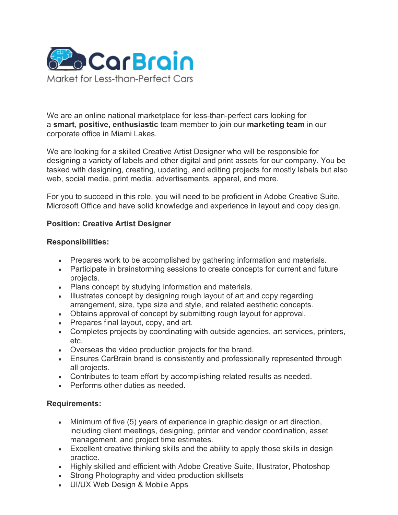

We are an online national marketplace for less-than-perfect cars looking for a **smart**, **positive, enthusiastic** team member to join our **marketing team** in our corporate office in Miami Lakes.

We are looking for a skilled Creative Artist Designer who will be responsible for designing a variety of labels and other digital and print assets for our company. You be tasked with designing, creating, updating, and editing projects for mostly labels but also web, social media, print media, advertisements, apparel, and more.

For you to succeed in this role, you will need to be proficient in Adobe Creative Suite, Microsoft Office and have solid knowledge and experience in layout and copy design.

## **Position: Creative Artist Designer**

## **Responsibilities:**

- Prepares work to be accomplished by gathering information and materials.
- Participate in brainstorming sessions to create concepts for current and future projects.
- Plans concept by studying information and materials.
- Illustrates concept by designing rough layout of art and copy regarding arrangement, size, type size and style, and related aesthetic concepts.
- Obtains approval of concept by submitting rough layout for approval.
- Prepares final layout, copy, and art.
- Completes projects by coordinating with outside agencies, art services, printers, etc.
- Overseas the video production projects for the brand.
- Ensures CarBrain brand is consistently and professionally represented through all projects.
- Contributes to team effort by accomplishing related results as needed.
- Performs other duties as needed.

## **Requirements:**

- Minimum of five (5) years of experience in graphic design or art direction, including client meetings, designing, printer and vendor coordination, asset management, and project time estimates.
- Excellent creative thinking skills and the ability to apply those skills in design practice.
- Highly skilled and efficient with Adobe Creative Suite, Illustrator, Photoshop
- Strong Photography and video production skillsets
- UI/UX Web Design & Mobile Apps